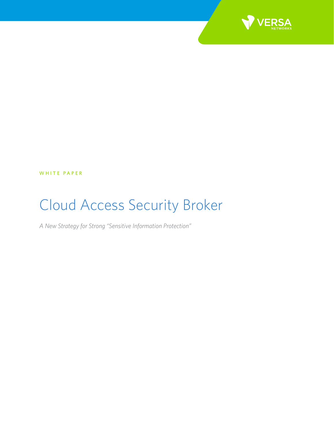

WHITE PAPER

# Cloud Access Security Broker

*A New Strategy for Strong "Sensitive Information Protection"*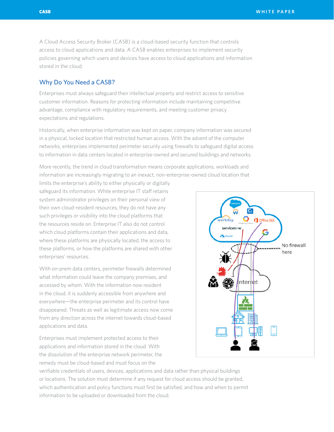A Cloud Access Security Broker (CASB) is a cloud-based security function that controls access to cloud applications and data. A CASB enables enterprises to implement security policies governing which users and devices have access to cloud applications and information stored in the cloud.

# Why Do You Need a CASB?

Enterprises must always safeguard their intellectual property and restrict access to sensitive customer information. Reasons for protecting information include maintaining competitive advantage, compliance with regulatory requirements, and meeting customer privacy expectations and regulations.

Historically, when enterprise information was kept on paper, company information was secured in a physical, locked location that restricted human access. With the advent of the computer networks, enterprises implemented perimeter security using firewalls to safeguard digital access to information in data centers located in enterprise-owned and secured buildings and networks.

More recently, the trend in cloud transformation means corporate applications, workloads and information are increasingly migrating to an inexact, non-enterprise-owned cloud location that

limits the enterprise's ability to either physically or digitally safeguard its information. While enterprise IT staff retains system administrator privileges on their personal view of their own cloud-resident resources, they do not have any such privileges or visibility into the cloud platforms that the resources reside on. Enterprise IT also do not control which cloud platforms contain their applications and data, where these platforms are physically located, the access to these platforms, or how the platforms are shared with other enterprises' resources.

With on-prem data centers, perimeter firewalls determined what information could leave the company premises, and accessed by whom. With the information now resident in the cloud, it is suddenly accessible from anywhere and everywhere—the enterprise perimeter and its control have disappeared. Threats as well as legitimate access now come from any direction across the internet towards cloud-based applications and data.

Enterprises must implement protected access to their applications and information stored in the cloud. With the dissolution of the enterprise network perimeter, the remedy must be cloud-based and must focus on the

 $\mathsf{C}$ Office 369 servicency No firewall here nternet

verifiable credentials of users, devices, applications and data rather than physical buildings or locations. The solution must determine if any request for cloud access should be granted, which authentication and policy functions must first be satisfied, and how and when to permit information to be uploaded or downloaded from the cloud.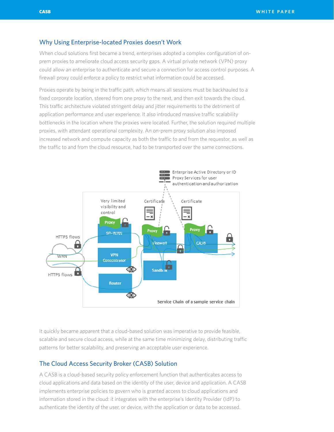# Why Using Enterprise-located Proxies doesn't Work

When cloud solutions first became a trend, enterprises adopted a complex configuration of onprem proxies to ameliorate cloud access security gaps. A virtual private network (VPN) proxy could allow an enterprise to authenticate and secure a connection for access control purposes. A firewall proxy could enforce a policy to restrict what information could be accessed.

Proxies operate by being in the traffic path, which means all sessions must be backhauled to a fixed corporate location, steered from one proxy to the next, and then exit towards the cloud. This traffic architecture violated stringent delay and jitter requirements to the detriment of application performance and user experience. It also introduced massive traffic scalability bottlenecks in the location where the proxies were located. Further, the solution required multiple proxies, with attendant operational complexity. An on-prem proxy solution also imposed increased network and compute capacity as both the traffic to and from the requestor, as well as the traffic to and from the cloud resource, had to be transported over the same connections.



It quickly became apparent that a cloud-based solution was imperative to provide feasible, scalable and secure cloud access, while at the same time minimizing delay, distributing traffic patterns for better scalability, and preserving an acceptable user experience.

# The Cloud Access Security Broker (CASB) Solution

A CASB is a cloud-based security policy enforcement function that authenticates access to cloud applications and data based on the identity of the user, device and application. A CASB implements enterprise policies to govern who is granted access to cloud applications and information stored in the cloud: it integrates with the enterprise's Identity Provider (IdP) to authenticate the identity of the user, or device, with the application or data to be accessed.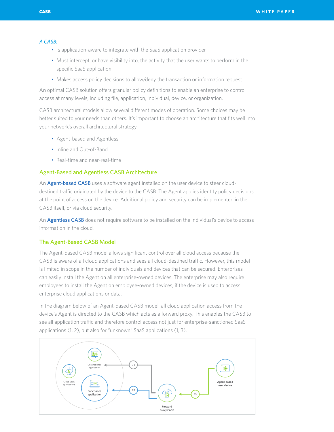### *A CASB:*

- Is application-aware to integrate with the SaaS application provider
- Must intercept, or have visibility into, the activity that the user wants to perform in the specific SaaS application
- Makes access policy decisions to allow/deny the transaction or information request

An optimal CASB solution offers granular policy definitions to enable an enterprise to control access at many levels, including file, application, individual, device, or organization.

CASB architectural models allow several different modes of operation. Some choices may be better suited to your needs than others. It's important to choose an architecture that fits well into your network's overall architectural strategy.

- Agent-based and Agentless
- Inline and Out-of-Band
- Real-time and near-real-time

## Agent-Based and Agentless CASB Architecture

An **Agent-based CASB** uses a software agent installed on the user device to steer clouddestined traffic originated by the device to the CASB. The Agent applies identity policy decisions at the point of access on the device. Additional policy and security can be implemented in the CASB itself, or via cloud security.

An **Agentless CASB** does not require software to be installed on the individual's device to access information in the cloud.

### The Agent-Based CASB Model

The Agent-based CASB model allows significant control over all cloud access because the CASB is aware of all cloud applications and sees all cloud-destined traffic. However, this model is limited in scope in the number of individuals and devices that can be secured. Enterprises can easily install the Agent on all enterprise-owned devices. The enterprise may also require employees to install the Agent on employee-owned devices, if the device is used to access enterprise cloud applications or data.

In the diagram below of an Agent-based CASB model, all cloud application access from the device's Agent is directed to the CASB which acts as a forward proxy. This enables the CASB to see all application traffic and therefore control access not just for enterprise-sanctioned SaaS applications (1, 2), but also for "unknown" SaaS applications (1, 3).

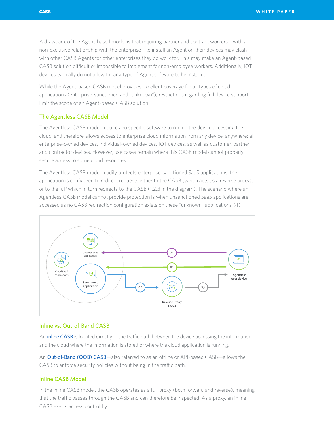A drawback of the Agent-based model is that requiring partner and contract workers—with a non-exclusive relationship with the enterprise—to install an Agent on their devices may clash with other CASB Agents for other enterprises they do work for. This may make an Agent-based CASB solution difficult or impossible to implement for non-employee workers. Additionally, IOT devices typically do not allow for any type of Agent software to be installed.

While the Agent-based CASB model provides excellent coverage for all types of cloud applications (enterprise-sanctioned and "unknown"), restrictions regarding full device support limit the scope of an Agent-based CASB solution.

## The Agentless CASB Model

The Agentless CASB model requires no specific software to run on the device accessing the cloud, and therefore allows access to enterprise cloud information from any device, anywhere: all enterprise-owned devices, individual-owned devices, IOT devices, as well as customer, partner and contractor devices. However, use cases remain where this CASB model cannot properly secure access to some cloud resources.

The Agentless CASB model readily protects enterprise-sanctioned SaaS applications: the application is configured to redirect requests either to the CASB (which acts as a reverse proxy), or to the IdP which in turn redirects to the CASB (1,2,3 in the diagram). The scenario where an Agentless CASB model cannot provide protection is when unsanctioned SaaS applications are accessed as no CASB redirection configuration exists on these "unknown" applications (4).



## Inline vs. Out-of-Band CASB

An **inline CASB** is located directly in the traffic path between the device accessing the information and the cloud where the information is stored or where the cloud application is running.

An Out-of-Band (OOB) CASB—also referred to as an offline or API-based CASB—allows the CASB to enforce security policies without being in the traffic path.

## Inline CASB Model

In the inline CASB model, the CASB operates as a full proxy (both forward and reverse), meaning that the traffic passes through the CASB and can therefore be inspected. As a proxy, an inline CASB exerts access control by: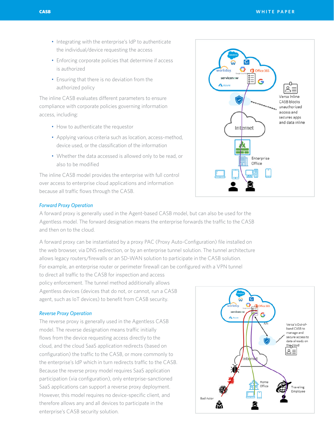- Integrating with the enterprise's IdP to authenticate the individual/device requesting the access
- Enforcing corporate policies that determine if access is authorized
- Ensuring that there is no deviation from the authorized policy

The inline CASB evaluates different parameters to ensure compliance with corporate policies governing information access, including:

- How to authenticate the requestor
- Applying various criteria such as location, access-method, device used, or the classification of the information
- Whether the data accessed is allowed only to be read, or also to be modified

The inline CASB model provides the enterprise with full control over access to enterprise cloud applications and information because all traffic flows through the CASB.



#### *Forward Proxy Operation*

A forward proxy is generally used in the Agent-based CASB model, but can also be used for the Agentless model. The forward designation means the enterprise forwards the traffic to the CASB and then on to the cloud.

A forward proxy can be instantiated by a proxy PAC (Proxy Auto-Configuration) file installed on the web browser, via DNS redirection, or by an enterprise tunnel solution. The tunnel architecture allows legacy routers/firewalls or an SD-WAN solution to participate in the CASB solution. For example, an enterprise router or perimeter firewall can be configured with a VPN tunnel

to direct all traffic to the CASB for inspection and access policy enforcement. The tunnel method additionally allows Agentless devices (devices that do not, or cannot, run a CASB agent, such as IoT devices) to benefit from CASB security.

## *Reverse Proxy Operation*

The reverse proxy is generally used in the Agentless CASB model. The reverse designation means traffic initially flows from the device requesting access directly to the cloud, and the cloud SaaS application redirects (based on configuration) the traffic to the CASB, or more commonly to the enterprise's IdP which in turn redirects traffic to the CASB. Because the reverse proxy model requires SaaS application participation (via configuration), only enterprise-sanctioned SaaS applications can support a reverse proxy deployment. However, this model requires no device-specific client, and therefore allows any and all devices to participate in the enterprise's CASB security solution.

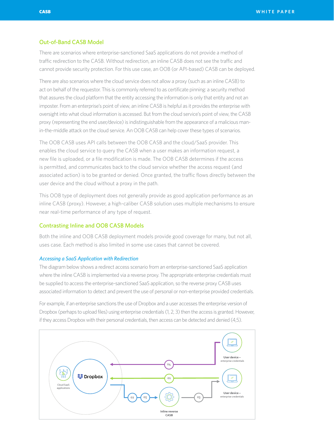## Out-of-Band CASB Model

There are scenarios where enterprise-sanctioned SaaS applications do not provide a method of traffic redirection to the CASB. Without redirection, an inline CASB does not see the traffic and cannot provide security protection. For this use case, an OOB (or API-based) CASB can be deployed.

There are also scenarios where the cloud service does not allow a proxy (such as an inline CASB) to act on behalf of the requestor. This is commonly referred to as certificate pinning: a security method that assures the cloud platform that the entity accessing the information is only that entity and not an imposter. From an enterprise's point of view, an inline CASB is helpful as it provides the enterprise with oversight into what cloud information is accessed. But from the cloud service's point of view, the CASB proxy (representing the end user/device) is indistinguishable from the appearance of a malicious manin-the-middle attack on the cloud service. An OOB CASB can help cover these types of scenarios.

The OOB CASB uses API calls between the OOB CASB and the cloud/SaaS provider. This enables the cloud service to query the CASB when a user makes an information request, a new file is uploaded, or a file modification is made. The OOB CASB determines if the access is permitted, and communicates back to the cloud service whether the access request (and associated action) is to be granted or denied. Once granted, the traffic flows directly between the user device and the cloud without a proxy in the path.

This OOB type of deployment does not generally provide as good application performance as an inline CASB (proxy). However, a high-caliber CASB solution uses multiple mechanisms to ensure near real-time performance of any type of request.

## Contrasting Inline and OOB CASB Models

Both the inline and OOB CASB deployment models provide good coverage for many, but not all, uses case. Each method is also limited in some use cases that cannot be covered.

#### *Accessing a SaaS Application with Redirection*

The diagram below shows a redirect access scenario from an enterprise-sanctioned SaaS application where the inline CASB is implemented via a reverse proxy. The appropriate enterprise credentials must be supplied to access the enterprise-sanctioned SaaS application, so the reverse proxy CASB uses associated information to detect and prevent the use of personal or non-enterprise provided credentials.

For example, if an enterprise sanctions the use of Dropbox and a user accesses the enterprise version of Dropbox (perhaps to upload files) using enterprise credentials (1, 2, 3) then the access is granted. However, if they access Dropbox with their personal credentials, then access can be detected and denied (4,5).

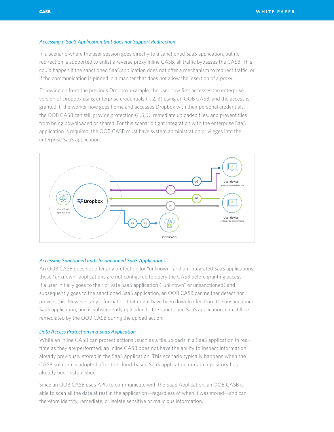## *Accessing a SaaS Application that does not Support Redirection*

In a scenario where the user session goes directly to a sanctioned SaaS application, but no redirection is supported to enlist a reverse proxy inline CASB, all traffic bypasses the CASB. This could happen if the sanctioned SaaS application does not offer a mechanism to redirect traffic, or if the communication is pinned in a manner that does not allow the insertion of a proxy.

Following on from the previous Dropbox example, the user now first accesses the enterprise version of Dropbox using enterprise credentials (1, 2, 3) using an OOB CASB, and the access is granted. If the worker now goes home and accesses Dropbox with their personal credentials, the OOB CASB can still provide protection (4,5,6), remediate uploaded files, and prevent files from being downloaded or shared. For this scenario tight integration with the enterprise SaaS application is required: the OOB CASB must have system administration privileges into the enterprise SaaS application.



## *Accessing Sanctioned and Unsanctioned SaaS Applications*

An OOB CASB does not offer any protection for "unknown" and un-integrated SaaS applications: these "unknown" applications are not configured to query the CASB before granting access. If a user initially goes to their private SaaS application ("unknown" or unsanctioned) and subsequently goes to the sanctioned SaaS application, an OOB CASB can neither detect nor prevent this. However, any information that might have been downloaded from the unsanctioned SaaS application, and is subsequently uploaded to the sanctioned SaaS application, can still be remediated by the OOB CASB during the upload action.

## *Data Access Protection in a SaaS Application*

While an inline CASB can protect actions (such as a file upload) in a SaaS application in realtime as they are performed, an inline CASB does not have the ability to inspect information already previously stored in the SaaS application. This scenario typically happens when the CASB solution is adopted after the cloud-based SaaS application or data repository has already been established.

Since an OOB CASB uses APIs to communicate with the SaaS Application, an OOB CASB is able to scan all the data at rest in the application—regardless of when it was stored—and can therefore identify, remediate, or isolate sensitive or malicious information.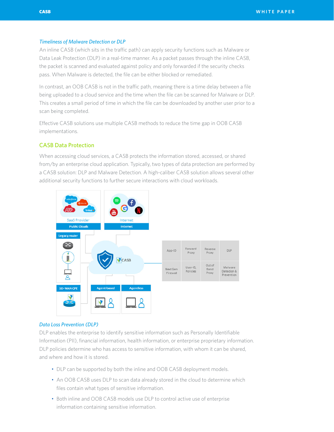## *Timeliness of Malware Detection or DLP*

An inline CASB (which sits in the traffic path) can apply security functions such as Malware or Data Leak Protection (DLP) in a real-time manner. As a packet passes through the inline CASB, the packet is scanned and evaluated against policy and only forwarded if the security checks pass. When Malware is detected, the file can be either blocked or remediated.

In contrast, an OOB CASB is not in the traffic path, meaning there is a time delay between a file being uploaded to a cloud service and the time when the file can be scanned for Malware or DLP. This creates a small period of time in which the file can be downloaded by another user prior to a scan being completed.

Effective CASB solutions use multiple CASB methods to reduce the time gap in OOB CASB implementations.

# CASB Data Protection

When accessing cloud services, a CASB protects the information stored, accessed, or shared from/by an enterprise cloud application. Typically, two types of data protection are performed by a CASB solution: DLP and Malware Detection. A high-caliber CASB solution allows several other additional security functions to further secure interactions with cloud workloads.



## *Data Loss Prevention (DLP)*

DLP enables the enterprise to identify sensitive information such as Personally Identifiable Information (PII), financial information, health information, or enterprise proprietary information. DLP policies determine who has access to sensitive information, with whom it can be shared, and where and how it is stored.

- DLP can be supported by both the inline and OOB CASB deployment models.
- An OOB CASB uses DLP to scan data already stored in the cloud to determine which files contain what types of sensitive information.
- Both inline and OOB CASB models use DLP to control active use of enterprise information containing sensitive information.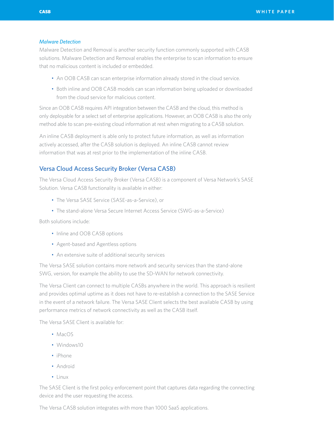#### *Malware Detection*

Malware Detection and Removal is another security function commonly supported with CASB solutions. Malware Detection and Removal enables the enterprise to scan information to ensure that no malicious content is included or embedded.

- An OOB CASB can scan enterprise information already stored in the cloud service.
- Both inline and OOB CASB models can scan information being uploaded or downloaded from the cloud service for malicious content.

Since an OOB CASB requires API integration between the CASB and the cloud, this method is only deployable for a select set of enterprise applications. However, an OOB CASB is also the only method able to scan pre-existing cloud information at rest when migrating to a CASB solution.

An inline CASB deployment is able only to protect future information, as well as information actively accessed, after the CASB solution is deployed. An inline CASB cannot review information that was at rest prior to the implementation of the inline CASB.

## Versa Cloud Access Security Broker (Versa CASB)

The Versa Cloud Access Security Broker (Versa CASB) is a component of Versa Network's SASE Solution. Versa CASB functionality is available in either:

- The Versa SASE Service (SASE-as-a-Service), or
- The stand-alone Versa Secure Internet Access Service (SWG-as-a-Service)

Both solutions include:

- Inline and OOB CASB options
- Agent-based and Agentless options
- An extensive suite of additional security services

The Versa SASE solution contains more network and security services than the stand-alone SWG, version, for example the ability to use the SD-WAN for network connectivity.

The Versa Client can connect to multiple CASBs anywhere in the world. This approach is resilient and provides optimal uptime as it does not have to re-establish a connection to the SASE Service in the event of a network failure. The Versa SASE Client selects the best available CASB by using performance metrics of network connectivity as well as the CASB itself.

The Versa SASE Client is available for:

- MacOS
- Windows10
- iPhone
- Android
- Linux

The SASE Client is the first policy enforcement point that captures data regarding the connecting device and the user requesting the access.

The Versa CASB solution integrates with more than 1000 SaaS applications.